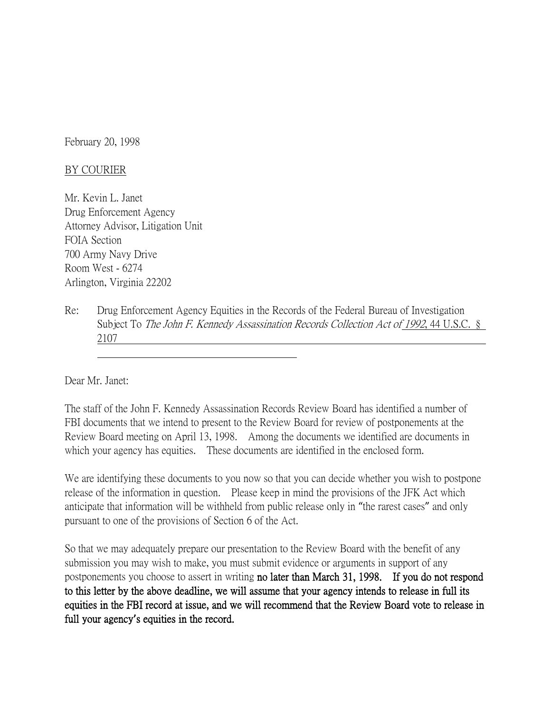February 20, 1998

## BY COURIER

Mr. Kevin L. Janet Drug Enforcement Agency Attorney Advisor, Litigation Unit FOIA Section 700 Army Navy Drive Room West - 6274 Arlington, Virginia 22202

Re: Drug Enforcement Agency Equities in the Records of the Federal Bureau of Investigation Subject To *The John F. Kennedy Assassination Records Collection Act of 1992*, 44 U.S.C. § 2107

Dear Mr. Janet:

The staff of the John F. Kennedy Assassination Records Review Board has identified a number of FBI documents that we intend to present to the Review Board for review of postponements at the Review Board meeting on April 13, 1998. Among the documents we identified are documents in which your agency has equities. These documents are identified in the enclosed form.

We are identifying these documents to you now so that you can decide whether you wish to postpone release of the information in question. Please keep in mind the provisions of the JFK Act which anticipate that information will be withheld from public release only in "the rarest cases" and only pursuant to one of the provisions of Section 6 of the Act.

So that we may adequately prepare our presentation to the Review Board with the benefit of any submission you may wish to make, you must submit evidence or arguments in support of any postponements you choose to assert in writing no later than March 31, 1998. If you do not respond to this letter by the above deadline, we will assume that your agency intends to release in full its equities in the FBI record at issue, and we will recommend that the Review Board vote to release in full your agency**'**s equities in the record.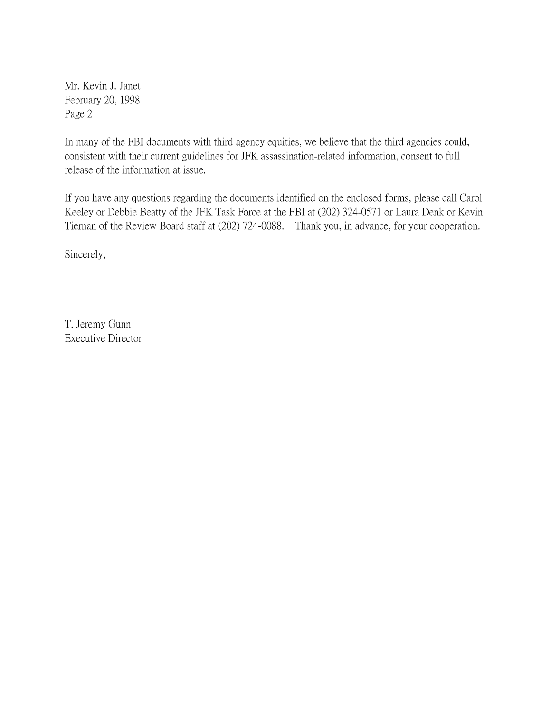Mr. Kevin J. Janet February 20, 1998 Page 2

In many of the FBI documents with third agency equities, we believe that the third agencies could, consistent with their current guidelines for JFK assassination-related information, consent to full release of the information at issue.

If you have any questions regarding the documents identified on the enclosed forms, please call Carol Keeley or Debbie Beatty of the JFK Task Force at the FBI at (202) 324-0571 or Laura Denk or Kevin Tiernan of the Review Board staff at (202) 724-0088. Thank you, in advance, for your cooperation.

Sincerely,

T. Jeremy Gunn Executive Director